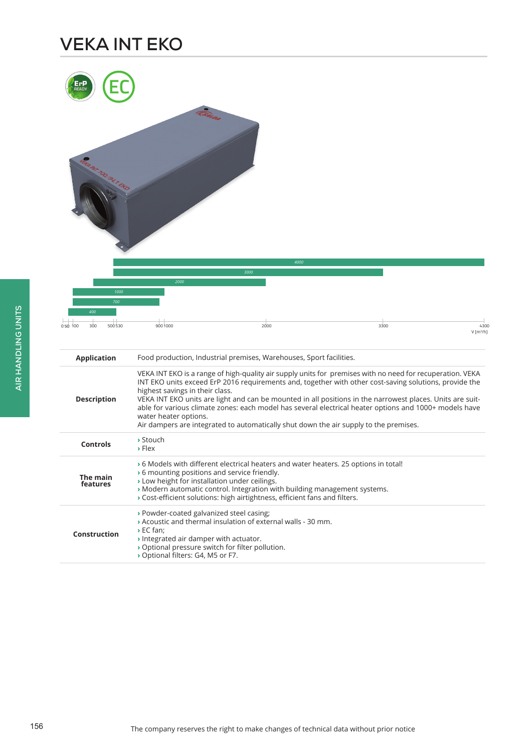# **VEKA INT EKO**

|                                                 |                                                                                                                                                                                                      | 4000<br>3000                                                                                                                                                                                                                                    |                                                                                                                                                                                                                                                                                                                                                                                                                                            |                                 |
|-------------------------------------------------|------------------------------------------------------------------------------------------------------------------------------------------------------------------------------------------------------|-------------------------------------------------------------------------------------------------------------------------------------------------------------------------------------------------------------------------------------------------|--------------------------------------------------------------------------------------------------------------------------------------------------------------------------------------------------------------------------------------------------------------------------------------------------------------------------------------------------------------------------------------------------------------------------------------------|---------------------------------|
| 1000<br>700<br>400<br>500 530<br>050 100<br>300 | 2000<br>9001000                                                                                                                                                                                      | 2000                                                                                                                                                                                                                                            | 3300                                                                                                                                                                                                                                                                                                                                                                                                                                       | 4300<br>$V$ [m <sup>3</sup> /h] |
| <b>Application</b>                              |                                                                                                                                                                                                      | Food production, Industrial premises, Warehouses, Sport facilities.                                                                                                                                                                             |                                                                                                                                                                                                                                                                                                                                                                                                                                            |                                 |
| <b>Description</b>                              | highest savings in their class.<br>water heater options.                                                                                                                                             | Air dampers are integrated to automatically shut down the air supply to the premises.                                                                                                                                                           | VEKA INT EKO is a range of high-quality air supply units for premises with no need for recuperation. VEKA<br>INT EKO units exceed ErP 2016 requirements and, together with other cost-saving solutions, provide the<br>VEKA INT EKO units are light and can be mounted in all positions in the narrowest places. Units are suit-<br>able for various climate zones: each model has several electrical heater options and 1000+ models have |                                 |
| <b>Controls</b>                                 | > Stouch<br>$\triangleright$ Flex                                                                                                                                                                    |                                                                                                                                                                                                                                                 |                                                                                                                                                                                                                                                                                                                                                                                                                                            |                                 |
| The main<br>features                            | ▶ 6 mounting positions and service friendly.<br>> Low height for installation under ceilings.                                                                                                        | » 6 Models with different electrical heaters and water heaters. 25 options in total!<br>» Modern automatic control. Integration with building management systems.<br>> Cost-efficient solutions: high airtightness, efficient fans and filters. |                                                                                                                                                                                                                                                                                                                                                                                                                                            |                                 |
| Construction                                    | > Powder-coated galvanized steel casing;<br>$\rightarrow$ EC fan:<br>» Integrated air damper with actuator.<br>> Optional pressure switch for filter pollution.<br>> Optional filters: G4, M5 or F7. | » Acoustic and thermal insulation of external walls - 30 mm.                                                                                                                                                                                    |                                                                                                                                                                                                                                                                                                                                                                                                                                            |                                 |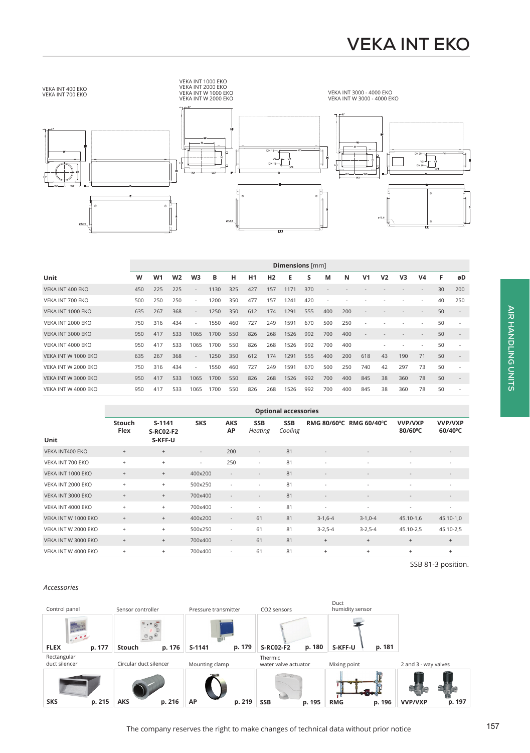

|                     | Dimensions [mm] |                |                |                          |      |     |     |                |      |     |     |     |                          |                |     |                          |    |     |
|---------------------|-----------------|----------------|----------------|--------------------------|------|-----|-----|----------------|------|-----|-----|-----|--------------------------|----------------|-----|--------------------------|----|-----|
| Unit                | W               | W <sub>1</sub> | W <sub>2</sub> | W <sub>3</sub>           | в    | н   | H1  | H <sub>2</sub> | Е    | S   | M   | N   | V <sub>1</sub>           | V <sub>2</sub> | V3  | V <sub>4</sub>           | F  | øD  |
| VEKA INT 400 EKO    | 450             | 225            | 225            | $\sim$                   | 1130 | 325 | 427 | 157            | 1171 | 370 |     |     |                          |                |     | $\overline{\phantom{a}}$ | 30 | 200 |
| VEKA INT 700 EKO    | 500             | 250            | 250            | $\overline{\phantom{a}}$ | 1200 | 350 | 477 | 157            | 1241 | 420 |     |     |                          |                |     |                          | 40 | 250 |
| VEKA INT 1000 EKO   | 635             | 267            | 368            | $\sim$                   | 1250 | 350 | 612 | 174            | 1291 | 555 | 400 | 200 |                          |                |     | $\overline{\phantom{a}}$ | 50 |     |
| VEKA INT 2000 EKO   | 750             | 316            | 434            | $\sim$                   | 1550 | 460 | 727 | 249            | 1591 | 670 | 500 | 250 | $\overline{\phantom{a}}$ |                |     | $\overline{\phantom{a}}$ | 50 | ٠   |
| VEKA INT 3000 EKO   | 950             | 417            | 533            | 1065                     | 1700 | 550 | 826 | 268            | 1526 | 992 | 700 | 400 | $\overline{\phantom{a}}$ |                |     |                          | 50 | ٠   |
| VEKA INT 4000 EKO   | 950             | 417            | 533            | 1065                     | 1700 | 550 | 826 | 268            | 1526 | 992 | 700 | 400 |                          |                |     | $\sim$                   | 50 |     |
| VEKA INT W 1000 EKO | 635             | 267            | 368            | $\overline{\phantom{a}}$ | 1250 | 350 | 612 | 174            | 1291 | 555 | 400 | 200 | 618                      | 43             | 190 | 71                       | 50 |     |
| VEKA INT W 2000 EKO | 750             | 316            | 434            | $\overline{\phantom{a}}$ | 1550 | 460 | 727 | 249            | 1591 | 670 | 500 | 250 | 740                      | 42             | 297 | 73                       | 50 |     |
| VEKA INT W 3000 EKO | 950             | 417            | 533            | 1065                     | 1700 | 550 | 826 | 268            | 1526 | 992 | 700 | 400 | 845                      | 38             | 360 | 78                       | 50 |     |
| VEKA INT W 4000 EKO | 950             | 417            | 533            | 1065                     | 1700 | 550 | 826 | 268            | 1526 | 992 | 700 | 400 | 845                      | 38             | 360 | 78                       | 50 |     |

|                     |                                  | <b>Optional accessories</b>             |                          |                          |                              |                       |                          |                          |                           |                                     |  |  |
|---------------------|----------------------------------|-----------------------------------------|--------------------------|--------------------------|------------------------------|-----------------------|--------------------------|--------------------------|---------------------------|-------------------------------------|--|--|
| Unit                | <b>Stouch</b><br>Flex            | $S-1141$<br><b>S-RC02-F2</b><br>S-KFF-U | <b>SKS</b>               | <b>AKS</b><br>AP         | <b>SSB</b><br><b>Heating</b> | <b>SSB</b><br>Cooling | <b>RMG 80/60°C</b>       | <b>RMG 60/40°C</b>       | <b>VVP/VXP</b><br>80/60°C | <b>VVP/VXP</b><br>$60/40^{\circ}$ C |  |  |
| VEKA INT400 EKO     | $+$                              | $+$                                     | $\overline{\phantom{a}}$ | 200                      | $\overline{\phantom{a}}$     | 81                    | $\overline{\phantom{a}}$ |                          | $\overline{\phantom{a}}$  | $\overline{\phantom{a}}$            |  |  |
| VEKA INT 700 EKO    | $\ddot{}$                        | $\begin{array}{c} + \end{array}$        | $\overline{\phantom{a}}$ | 250                      | $\overline{\phantom{a}}$     | 81                    | $\sim$                   |                          | $\overline{\phantom{a}}$  |                                     |  |  |
| VEKA INT 1000 EKO   | $^+$                             | $\begin{array}{c} + \end{array}$        | 400×200                  | $\overline{\phantom{a}}$ | $\overline{\phantom{a}}$     | 81                    | $\overline{\phantom{a}}$ | $\overline{\phantom{a}}$ | $\overline{\phantom{a}}$  | $\overline{\phantom{a}}$            |  |  |
| VEKA INT 2000 EKO   | $\begin{array}{c} + \end{array}$ | $\ddot{}$                               | 500x250                  | ٠                        |                              | 81                    | $\sim$                   | ٠                        | ٠                         |                                     |  |  |
| VEKA INT 3000 EKO   | $\begin{array}{c} + \end{array}$ | $\begin{array}{c} + \end{array}$        | 700x400                  | $\overline{\phantom{a}}$ | $\overline{\phantom{a}}$     | 81                    | $\overline{\phantom{a}}$ | $\overline{\phantom{a}}$ | $\overline{\phantom{a}}$  | $\overline{\phantom{a}}$            |  |  |
| VEKA INT 4000 EKO   | $\ddot{}$                        | $\ddot{}$                               | 700x400                  | $\sim$                   | $\sim$                       | 81                    | $\overline{\phantom{a}}$ | $\overline{\phantom{a}}$ | $\overline{\phantom{a}}$  | $\overline{\phantom{a}}$            |  |  |
| VEKA INT W 1000 EKO | $\begin{array}{c} + \end{array}$ | $+$                                     | 400×200                  | $\overline{\phantom{a}}$ | 61                           | 81                    | $3-1,6-4$                | $3-1,0-4$                | 45.10-1,6                 | 45.10-1,0                           |  |  |
| VEKA INT W 2000 EKO | $\ddot{}$                        | $\ddot{}$                               | 500x250                  | $\sim$                   | 61                           | 81                    | $3 - 2,5 - 4$            | $3 - 2, 5 - 4$           | 45.10-2,5                 | 45.10-2,5                           |  |  |
| VEKA INT W 3000 EKO | $+$                              | $+$                                     | 700x400                  | $\overline{\phantom{a}}$ | 61                           | 81                    | $^{+}$                   | $+$                      | $+$                       | $+$                                 |  |  |
| VEKA INT W 4000 EKO | $\begin{array}{c} + \end{array}$ | $+$                                     | 700×400                  | $\sim$                   | 61                           | 81                    | $\ddot{}$                | $^{+}$                   | $^{+}$                    | $+$                                 |  |  |

SSB 81-3 position.

#### *Accessories*

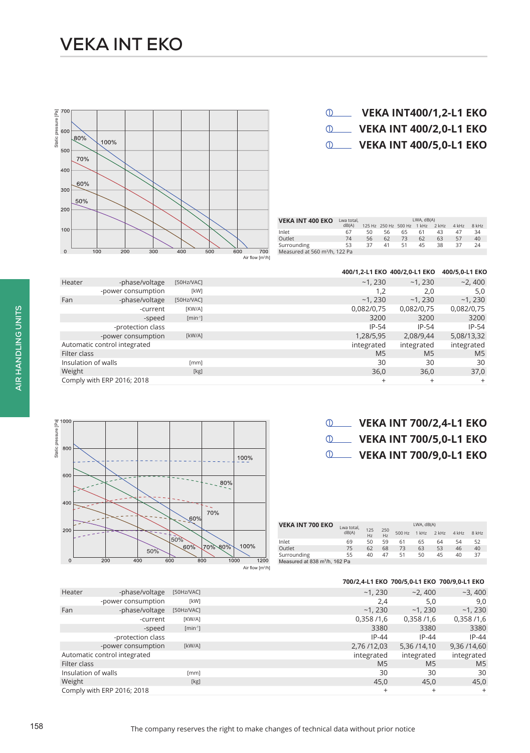# **VEKA INT EKO**

### **VEKA INT400/1,2-L1 EKO**

**VEKA INT 400/2,0-L1 EKO VEKA INT 400/5,0-L1 EKO**



| Surrounding                               | -37 | -51 | 45 | -38 |  |
|-------------------------------------------|-----|-----|----|-----|--|
| Measured at 560 m <sup>3</sup> /h, 122 Pa |     |     |    |     |  |
|                                           |     |     |    |     |  |
|                                           |     |     |    |     |  |

| 400/1,2-L1 EKO 400/2,0-L1 EKO 400/5,0-L1 EKO |  |  |
|----------------------------------------------|--|--|
|----------------------------------------------|--|--|

LWA, dB(A)<br>125 Hz 250 Hz 500 Hz 1 kHz 2 kHz 4 kHz 8 kHz

| Heater              | -phase/voltage               | [50Hz/VAC]                   | ~1,230         | ~1,230         | $-2,400$       |
|---------------------|------------------------------|------------------------------|----------------|----------------|----------------|
|                     | -power consumption           | [kW]                         | 1.2            | 2,0            | 5,0            |
| Fan                 | -phase/voltage               | [50Hz/VAC]                   | ~1.230         | ~1,230         | $-1,230$       |
|                     | -current                     | [KW/A]                       | 0,082/0,75     | 0,082/0,75     | 0,082/0,75     |
|                     | -speed                       | $\lceil \text{min-1} \rceil$ | 3200           | 3200           | 3200           |
|                     | -protection class            |                              | $IP-54$        | $IP-54$        | $IP-54$        |
|                     | -power consumption           | [kW/A]                       | 1,28/5,95      | 2,08/9,44      | 5,08/13,32     |
|                     | Automatic control integrated |                              | integrated     | integrated     | integrated     |
| Filter class        |                              |                              | M <sub>5</sub> | M <sub>5</sub> | M <sub>5</sub> |
| Insulation of walls |                              | [mm]                         | 30             | 30             | 30             |
| Weight              |                              | [kg]                         | 36,0           | 36,0           | 37,0           |
|                     | Comply with ERP 2016; 2018   |                              | $\ddot{}$      | $\overline{+}$ | $^{+}$         |



| $\circled{0}$ | <b>VEKA INT 700/2,4-L1 EKO</b> |  |  |  |  |
|---------------|--------------------------------|--|--|--|--|
|---------------|--------------------------------|--|--|--|--|

**VEKA INT 700/5,0-L1 EKO**

**VEKA INT 700/9,0-L1 EKO**

| <b>VEKA INT 700 EKO</b>                   | Lwa total. |           |                       |        | LWA. dB(A) |       |       |       |
|-------------------------------------------|------------|-----------|-----------------------|--------|------------|-------|-------|-------|
|                                           | dB(A)      | 125<br>Hz | 250<br>H <sub>z</sub> | 500 Hz | $1$ kHz    | 2 kHz | 4 kHz | 8 kHz |
| Inlet                                     | 69         | 50        | 59                    | 61     | 65         | 64    | 54    | 52    |
| Outlet                                    | 75         | 62        | 68                    | 73     | 63         | 53    | 46    | 40    |
| Surrounding                               | 55         | 40        | 47                    | 51     | 50         | 45    | 40    | 37    |
| Measured at 838 m <sup>3</sup> /h, 162 Pa |            |           |                       |        |            |       |       |       |

|                     |                              |                                 |                | 700/2,4-L1 EKO 700/5,0-L1 EKO 700/9,0-L1 EKO |                |
|---------------------|------------------------------|---------------------------------|----------------|----------------------------------------------|----------------|
| Heater              | -phase/voltage               | [50Hz/VAC]                      | ~1.230         | $-2.400$                                     | $-3,400$       |
|                     | -power consumption           | [kW]                            | 2,4            | 5,0                                          | 9,0            |
| Fan                 | -phase/voltage               | [50Hz/VAC]                      | ~1,230         | $-1,230$                                     | ~1,230         |
|                     | -current                     | [KW/A]                          | 0,358/1,6      | 0,358/1,6                                    | 0,358/1,6      |
|                     | -speed                       | $\lceil \text{min}^{-1} \rceil$ | 3380           | 3380                                         | 3380           |
|                     | -protection class            |                                 | $IP-44$        | $IP-44$                                      | $IP-44$        |
|                     | -power consumption           | [kW/A]                          | 2,76/12,03     | 5,36 / 14,10                                 | 9,36 / 14,60   |
|                     | Automatic control integrated |                                 | integrated     | integrated                                   | integrated     |
| Filter class        |                              |                                 | M <sub>5</sub> | M <sub>5</sub>                               | M <sub>5</sub> |
| Insulation of walls |                              | [mm]                            | 30             | 30                                           | 30             |
| Weight              |                              | [kg]                            | 45,0           | 45.0                                         | 45,0           |
|                     | Comply with ERP 2016; 2018   |                                 | $\ddot{}$      | $\ddot{}$                                    | $+$            |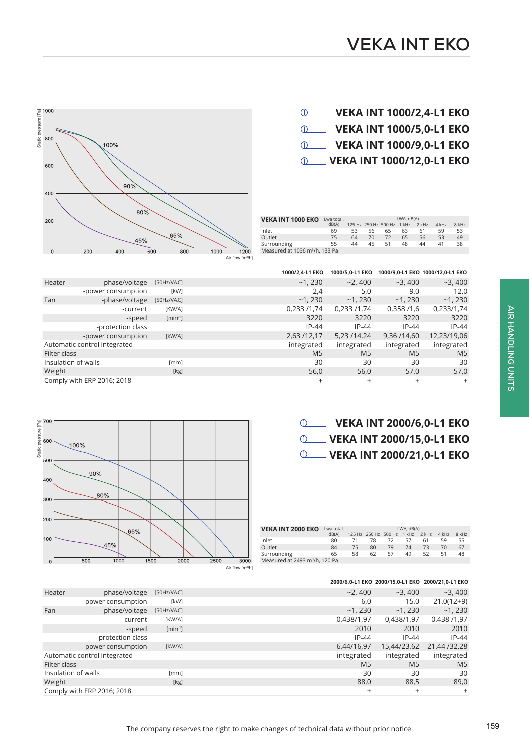## **VEKA INT 1000/2,4-L1 EKO VEKA INT 1000/5,0-L1 EKO VEKA INT 1000/9,0-L1 EKO VEKA INT 1000/12,0-L1 EKO**



| <b>VEKA INT 1000 EKO</b>                   | Lwa total. |    |    |                            | LWA, dB(A) |         |         |         |
|--------------------------------------------|------------|----|----|----------------------------|------------|---------|---------|---------|
|                                            | dB(A)      |    |    | 125 Hz 250 Hz 500 Hz 1 kHz |            | $2$ kHz | $4$ kHz | $8$ kHz |
| Inlet                                      | 69         | 53 | 56 | 65                         | 63         | 61      | 59      | 53      |
| Outlet                                     | 75         | 64 | 70 | 72                         | 65         | 56      | 53      | 49      |
| Surrounding                                | 55         | 44 | 45 | 51                         | 48         | 44      | 41      | 38      |
| Measured at 1036 m <sup>3</sup> /h, 133 Pa |            |    |    |                            |            |         |         |         |
|                                            |            |    |    |                            |            |         |         |         |

|                     |                              |              | 1000/2.4-L1 EKO | 1000/5,0-L1 EKO |                | 1000/9,0-L1 EKO 1000/12,0-L1 EKO |
|---------------------|------------------------------|--------------|-----------------|-----------------|----------------|----------------------------------|
| Heater              | -phase/voltage               | [50Hz/VAC]   | $-1,230$        | $-2,400$        | $-3,400$       | $-3,400$                         |
|                     | -power consumption           | [kW]         | 2,4             | 5,0             | 9,0            | 12,0                             |
| Fan                 | -phase/voltage               | [50Hz/VAC]   | $-1,230$        | ~1,230          | ~1,230         | ~1,230                           |
|                     | -current                     | [KW/A]       | 0,233/1,74      | 0,233 /1,74     | 0,358/1,6      | 0,233/1,74                       |
|                     | -speed                       | $[min^{-1}]$ | 3220            | 3220            | 3220           | 3220                             |
|                     | -protection class            |              | $IP-44$         | $IP-44$         | $IP-44$        | $IP-44$                          |
|                     | -power consumption           | [kW/A]       | 2,63 /12,17     | 5,23 /14,24     | 9,36/14,60     | 12,23/19,06                      |
|                     | Automatic control integrated |              | integrated      | integrated      | integrated     | integrated                       |
| Filter class        |                              |              | M <sub>5</sub>  | M <sub>5</sub>  | M <sub>5</sub> | M <sub>5</sub>                   |
| Insulation of walls |                              | [mm]         | 30              | 30              | 30             | 30                               |
| Weight              |                              | [kg]         | 56,0            | 56,0            | 57,0           | 57,0                             |
|                     | Comply with ERP 2016; 2018   |              | $^{+}$          | $^{+}$          | $^{+}$         | $^{+}$                           |
|                     |                              |              |                 |                 |                |                                  |

## **VEKA INT 2000/6,0-L1 EKO VEKA INT 2000/15,0-L1 EKO VEKA INT 2000/21,0-L1 EKO**



| <b>VEKA INT 2000 EKO</b>                   | Lwa total. |    |    |                            | LWA, dB(A) |       |         |       |
|--------------------------------------------|------------|----|----|----------------------------|------------|-------|---------|-------|
|                                            | dB(A)      |    |    | 125 Hz 250 Hz 500 Hz 1 kHz |            | 2 kHz | $4$ kHz | 8 kHz |
| Inlet                                      | 80         |    | 78 | 72                         | 57         | 61    | 59      | 55    |
| Outlet                                     | 84         | 75 | 80 | 79                         | 74         | 73    | 70      | 67    |
| Surrounding                                | 65         | 58 | 62 | 57                         | 49         | 52    | 51      | 48    |
| Measured at 2493 m <sup>3</sup> /h, 120 Pa |            |    |    |                            |            |       |         |       |

|                     |                              |              |                | 2000/6,0-L1 EKO 2000/15,0-L1 EKO 2000/21,0-L1 EKO |                |
|---------------------|------------------------------|--------------|----------------|---------------------------------------------------|----------------|
| Heater              | -phase/voltage               | [50Hz/VAC]   | $-2.400$       | $-3.400$                                          | $-3,400$       |
|                     | -power consumption           | [kW]         | 6,0            | 15,0                                              | $21,0(12+9)$   |
| Fan                 | -phase/voltage               | [50Hz/VAC]   | $-1,230$       | ~1.230                                            | $-1,230$       |
|                     | -current                     | [KW/A]       | 0,438/1,97     | 0,438/1,97                                        | 0,438 /1,97    |
|                     | -speed                       | $[min^{-1}]$ | 2010           | 2010                                              | 2010           |
|                     | -protection class            |              | $IP-44$        | $IP-44$                                           | $IP-44$        |
|                     | -power consumption           | [kW/A]       | 6,44/16,97     | 15,44/23,62                                       | 21,44 / 32,28  |
|                     | Automatic control integrated |              | integrated     | integrated                                        | integrated     |
| Filter class        |                              |              | M <sub>5</sub> | M <sub>5</sub>                                    | M <sub>5</sub> |
| Insulation of walls |                              | [mm]         | 30             | 30                                                | 30             |
| Weight              |                              | [kg]         | 88,0           | 88,5                                              | 89,0           |
|                     | Comply with ERP 2016; 2018   |              | $^{+}$         | $^{+}$                                            | $^{+}$         |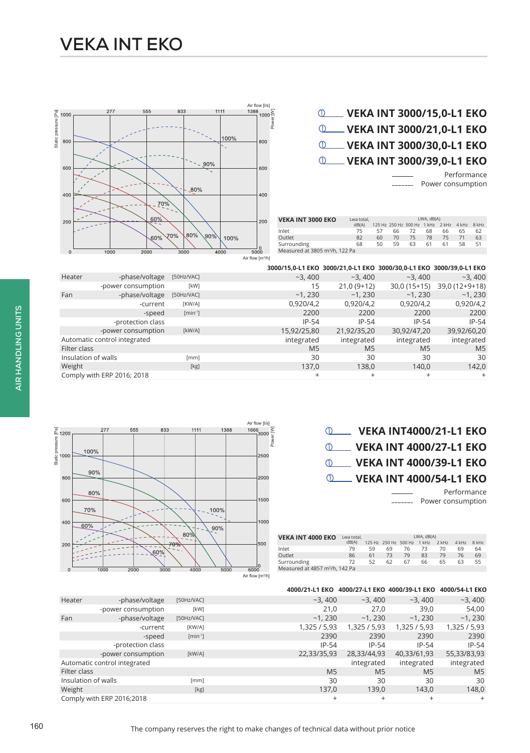### **VEKA INT 3000/15,0-L1 EKO VEKA INT 3000/21,0-L1 EKO VEKA INT 3000/30,0-L1 EKO VEKA INT 3000/39,0-L1 EKO**

Performance Power consumption

LWA, dB(A) 125 Hz 250 Hz 500 Hz 1 kHz 2 kHz 4 kHz 8 kHz



Air flow [m<sup>3</sup> /h]

**VEKA INT 3000 EKO** Lwa total,

dB(A)

Inlet 75 57 66 72 68 66 65 62 Outlet 82 60 70 75 78 75 71 63 Surrounding 68 50 59 63 61 61 58 51 Measured at 3805 m3/h, 122 Pa

#### **3000/15,0-L1 EKO 3000/21,0-L1 EKO 3000/30,0-L1 EKO 3000/39,0-L1 EKO** Heater -phase/voltage [50Hz/VAC] -  $\sim$ 3, 400  $\sim$ 3, 400  $\sim$ 3, 400  $\sim$ 3, 400  $\sim$ 3, 400  $\sim$ 3, 400  $\sim$ 3, 400  $\sim$ 3, 400  $\sim$ 3, 400  $\sim$ 3, 400  $\sim$ 3, 400  $\sim$ 3, 400  $\sim$ 3, 400  $\sim$ 3, 400  $\sim$ 3, 400  $\sim$ 3, 400  $\sim$ 3, 400 -power consumption [kW] 15 21,0 (9+12) 30,0 (15+15) 39,0 (12+9+18)<br>-1, 230 -1, 230 -1, 230 -1, 230 -1, 230 -1, 230 Fan -phase/voltage [50Hz/VAC] -  $\sim$ 1, 230  $\sim$ 1, 230  $\sim$ 1, 230  $\sim$ 1, 230  $\sim$ 1, 230  $\sim$ 1, 230  $\sim$ 1, 230  $\sim$ 1, 230 -current [KW/A] 0,920/4,2 0,920/4,2 0,920/4,2 0,920/4,2 -speed [min-1] 2200 2200 2200 2200 -protection class **IP-54** IP-54 IP-54 IP-54 IP-54 -power consumption [kW/A] 15,92/25,80 21,92/35,20 30,92/47,20 39,92/60,20 Automatic control integrated integrated integrated integrated integrated integrated integrated integrated integrated integrated integrated integrated integrated integrated integrated integrated integrated integrated integr Filter class M5 M5 M5 M5 Insulation of walls [mm] 30 30 30 30 Weight [kg] 137,0 138,0 140,0 142,0 Comply with ERP 2016; 2018 + + + +

Air flow [l/s]  $\frac{1666}{3000}$   $\frac{2}{9}$ 

2500

| <b>QUELLE VEKA INT4000/21-L1 EKO</b>  |
|---------------------------------------|
| <b>10 VEKA INT 4000/27-L1 EKO</b>     |
| <b>10 VEKA INT 4000/39-L1 EKO</b>     |
| <b>Q_____ VEKA INT 4000/54-L1 EKO</b> |

Performance Power consumption

| <b>VEKA INT 4000 EKO</b>                   | Lwa total, |    |                      |    | LWA, dB(A) |       |       |       |
|--------------------------------------------|------------|----|----------------------|----|------------|-------|-------|-------|
|                                            | dB(A)      |    | 125 Hz 250 Hz 500 Hz |    | 1 kHz      | 2 kHz | 4 kHz | 8 kHz |
| Inlet                                      | 79         | 59 | 69                   | 76 | 73         | 70    | 69    | 64    |
| Outlet                                     | 86         | 61 | 73                   | 79 | 83         | 79    | 76    | 69    |
| Surrounding                                | 72         | 52 | 62                   | 67 | 66         | 65    | 63    | 55    |
| Measured at 4857 m <sup>3</sup> /h, 142 Pa |            |    |                      |    |            |       |       |       |



833

277

100%

555

1111

1388

| 4000/21-L1 EKO 4000/27-L1 EKO 4000/39-L1 EKO 4000/54-L1 EKO |
|-------------------------------------------------------------|
|-------------------------------------------------------------|

| -phase/voltage               | [50Hz/VAC]                      | $-3,400$       | $-3,400$       | $-3,400$       | $-3,400$       |
|------------------------------|---------------------------------|----------------|----------------|----------------|----------------|
| -power consumption           | [kW]                            | 21,0           | 27.0           | 39,0           | 54,00          |
| -phase/voltage               | [50Hz/VAC]                      | ~1.230         | ~1.230         | ~1,230         | $-1,230$       |
| -current                     | [KW/A]                          | 1,325 / 5,93   | 1,325/5,93     | 1,325/5,93     | 1,325 / 5,93   |
| -speed                       | $\lceil \text{min}^{-1} \rceil$ | 2390           | 2390           | 2390           | 2390           |
| -protection class            |                                 | $IP-54$        | $IP-54$        | $IP-54$        | $IP-54$        |
| -power consumption           | [kW/A]                          | 22,33/35,93    | 28,33/44,93    | 40,33/61,93    | 55,33/83,93    |
| Automatic control integrated |                                 |                | integrated     | integrated     | integrated     |
| Filter class                 |                                 | M <sub>5</sub> | M <sub>5</sub> | M <sub>5</sub> | M <sub>5</sub> |
| Insulation of walls          | [mm]                            | 30             | 30             | 30             | 30             |
|                              | [kg]                            | 137,0          | 139,0          | 143,0          | 148,0          |
| Comply with ERP 2016;2018    |                                 | $^{+}$         | $\ddot{}$      | $^{+}$         | $^{+}$         |
|                              |                                 |                |                |                |                |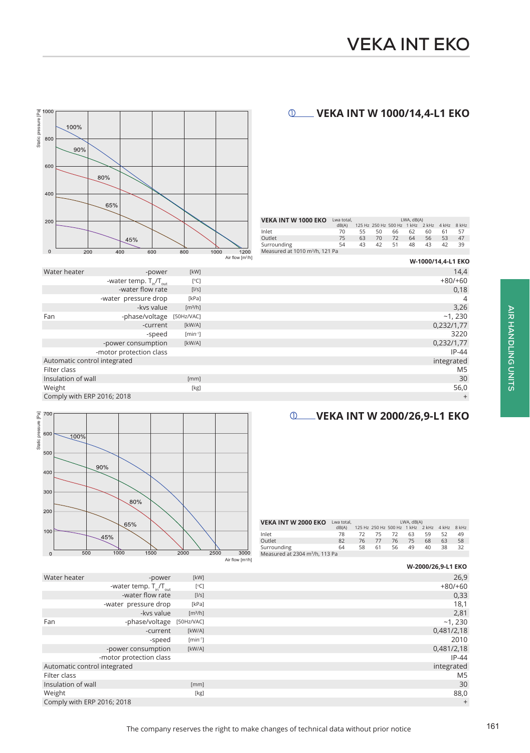**W-1000/14,4-L1 EKO** 

### **VEKA INT W 1000/14,4-L1 EKO**



| Water heater                 | -power                        | [kW]                | 14,4           |
|------------------------------|-------------------------------|---------------------|----------------|
|                              | -water temp. $T_{in}/T_{out}$ | [°C]                | $+80/+60$      |
|                              | -water flow rate              | [1/s]               | 0,18           |
|                              | -water pressure drop          | [kPa]               | 4              |
|                              | -kys value                    | [m <sup>3</sup> /h] | 3,26           |
| Fan                          | -phase/voltage [50Hz/VAC]     |                     | $-1,230$       |
|                              | -current                      | [kW/A]              | 0,232/1,77     |
|                              | -speed                        | $[min^{-1}]$        | 3220           |
|                              | -power consumption            | [kW/A]              | 0,232/1,77     |
|                              | -motor protection class       |                     | $IP-44$        |
| Automatic control integrated |                               |                     | integrated     |
| Filter class                 |                               |                     | M <sub>5</sub> |
| Insulation of wall           |                               | [mm]                | 30             |
| Weight                       |                               | [kg]                | 56,0           |
| Comply with ERP 2016; 2018   |                               |                     | $\ddot{}$      |

#### **VEKA INT W 2000/26,9-L1 EKO**



| <b>VEKA INT W 2000 EKO</b>                 | Lwa total. |    |    |                                              | LWA, dB(A) |    |    |    |
|--------------------------------------------|------------|----|----|----------------------------------------------|------------|----|----|----|
|                                            | dB(A)      |    |    | 125 Hz 250 Hz 500 Hz 1 kHz 2 kHz 4 kHz 8 kHz |            |    |    |    |
| Inlet                                      | 78         | 72 | 75 | 72.                                          | 63         | 59 | 52 | 49 |
| Qutlet                                     | 82         | 76 | 77 | 76                                           | 75         | 68 | 63 | 58 |
| Surrounding                                | 64         | 58 | 61 | 56                                           | 49         | 40 | 38 | 32 |
| Measured at 2304 m <sup>3</sup> /h, 113 Pa |            |    |    |                                              |            |    |    |    |

|                              |                               |                     | 711 110W 1111 711 |                    |
|------------------------------|-------------------------------|---------------------|-------------------|--------------------|
|                              |                               |                     |                   | W-2000/26,9-L1 EKO |
| Water heater                 | -power                        | [kW]                |                   | 26,9               |
|                              | -water temp. $T_{in}/T_{out}$ | [°C]                |                   | $+80/+60$          |
|                              | -water flow rate              | [1/s]               |                   | 0,33               |
|                              | -water pressure drop          | [kPa]               |                   | 18,1               |
|                              | -kys value                    | [m <sup>3</sup> /h] |                   | 2,81               |
| Fan                          | -phase/voltage [50Hz/VAC]     |                     |                   | ~1,230             |
|                              | -current                      | [kW/A]              |                   | 0,481/2,18         |
|                              | -speed                        | $[min^{-1}]$        |                   | 2010               |
|                              | -power consumption            | [kW/A]              |                   | 0,481/2,18         |
|                              | -motor protection class       |                     |                   | $IP-44$            |
| Automatic control integrated |                               |                     |                   | integrated         |
| Filter class                 |                               |                     |                   | M <sub>5</sub>     |
| Insulation of wall           |                               | [mm]                |                   | 30                 |
| Weight                       |                               | [kg]                |                   | 88,0               |
| Comply with ERP 2016; 2018   |                               |                     |                   | $\ddot{}$          |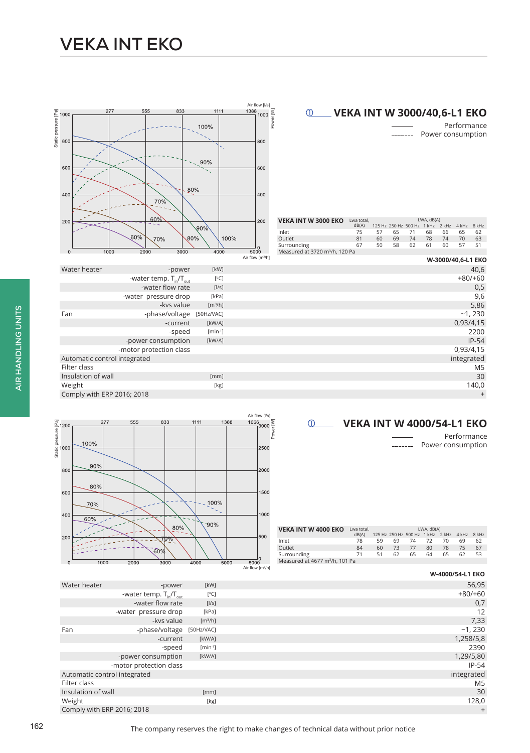



Performance Power consumption



| <b>VEKA INT W 4000 EKO</b>                 | Lwa total. |    |    |                                  | LWA, dB(A) |    |                 |    |
|--------------------------------------------|------------|----|----|----------------------------------|------------|----|-----------------|----|
|                                            | dB(A)      |    |    | 125 Hz 250 Hz 500 Hz 1 kHz 2 kHz |            |    | $4$ kHz $8$ kHz |    |
| Inlet                                      | 78         | 59 | 69 | 74                               | 72         | 70 | 69              | 62 |
| Outlet                                     | 84         | 60 | 73 | 77                               | 80         | 78 | 75              | 67 |
| Surrounding                                | 71         | 51 | 62 | 65                               | 64         | 65 | 62              | 53 |
| Measured at 4677 m <sup>3</sup> /h, 101 Pa |            |    |    |                                  |            |    |                 |    |
|                                            |            |    |    |                                  |            |    |                 |    |

|                              |                               |                     | W-4000/54-L1 EKO |
|------------------------------|-------------------------------|---------------------|------------------|
| Water heater                 | -power                        | [kW]                | 56,95            |
|                              | -water temp. $T_{in}/T_{out}$ | [°C]                | $+80/+60$        |
|                              | -water flow rate              | [1/s]               | 0,7              |
|                              | -water pressure drop          | [kPa]               | 12               |
|                              | -kvs value                    | [m <sup>3</sup> /h] | 7,33             |
| Fan                          | -phase/voltage                | [50Hz/VAC]          | $-1,230$         |
|                              | -current                      | [kW/A]              | 1,258/5,8        |
|                              | -speed                        | $[min^{-1}]$        | 2390             |
|                              | -power consumption            | [kW/A]              | 1,29/5,80        |
| -motor protection class      |                               |                     | $IP-54$          |
| Automatic control integrated |                               |                     | integrated       |
| Filter class                 |                               |                     | M <sub>5</sub>   |
| Insulation of wall           |                               | [mm]                | 30               |
| Weight                       |                               | [kg]                | 128,0            |
| Comply with ERP 2016; 2018   |                               |                     | $^{+}$           |